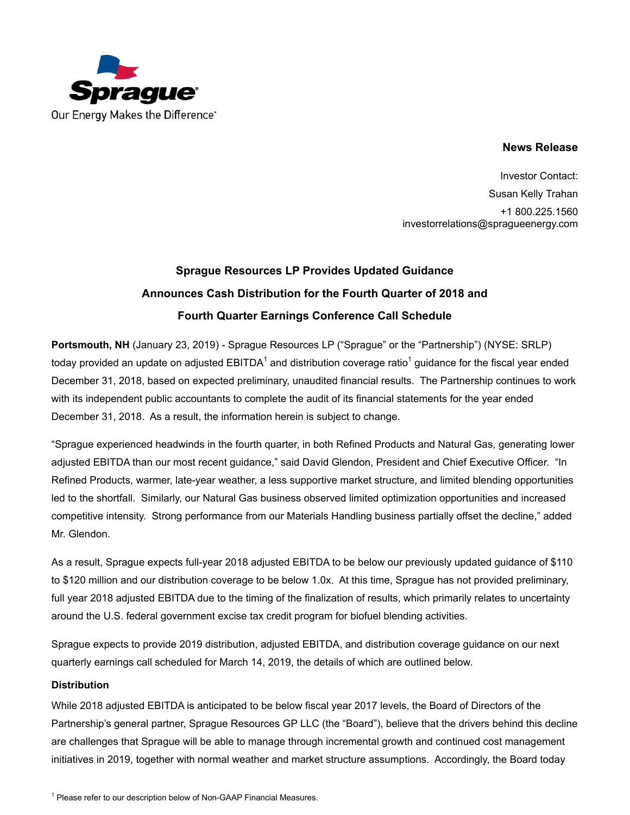

## **News Release**

Investor Contact: Susan Kelly Trahan +1 800.225.1560 investorrelations@spragueenergy.com

# **Sprague Resources LP Provides Updated Guidance Announces Cash Distribution for the Fourth Quarter of 2018 and Fourth Quarter Earnings Conference Call Schedule**

**Portsmouth, NH** (January 23, 2019) - Sprague Resources LP ("Sprague" or the "Partnership") (NYSE: SRLP) today provided an update on adjusted EBITDA $^{\rm 1}$  and distribution coverage ratio $^{\rm 1}$  guidance for the fiscal year ended December 31, 2018, based on expected preliminary, unaudited financial results. The Partnership continues to work with its independent public accountants to complete the audit of its financial statements for the year ended December 31, 2018. As a result, the information herein is subject to change.

"Sprague experienced headwinds in the fourth quarter, in both Refined Products and Natural Gas, generating lower adjusted EBITDA than our most recent guidance," said David Glendon, President and Chief Executive Officer. "In Refined Products, warmer, late-year weather, a less supportive market structure, and limited blending opportunities led to the shortfall. Similarly, our Natural Gas business observed limited optimization opportunities and increased competitive intensity. Strong performance from our Materials Handling business partially offset the decline," added Mr. Glendon.

As a result, Sprague expects full-year 2018 adjusted EBITDA to be below our previously updated guidance of \$110 to \$120 million and our distribution coverage to be below 1.0x. At this time, Sprague has not provided preliminary, full year 2018 adjusted EBITDA due to the timing of the finalization of results, which primarily relates to uncertainty around the U.S. federal government excise tax credit program for biofuel blending activities.

Sprague expects to provide 2019 distribution, adjusted EBITDA, and distribution coverage guidance on our next quarterly earnings call scheduled for March 14, 2019, the details of which are outlined below.

### **Distribution**

While 2018 adjusted EBITDA is anticipated to be below fiscal year 2017 levels, the Board of Directors of the Partnership's general partner, Sprague Resources GP LLC (the "Board"), believe that the drivers behind this decline are challenges that Sprague will be able to manage through incremental growth and continued cost management initiatives in 2019, together with normal weather and market structure assumptions. Accordingly, the Board today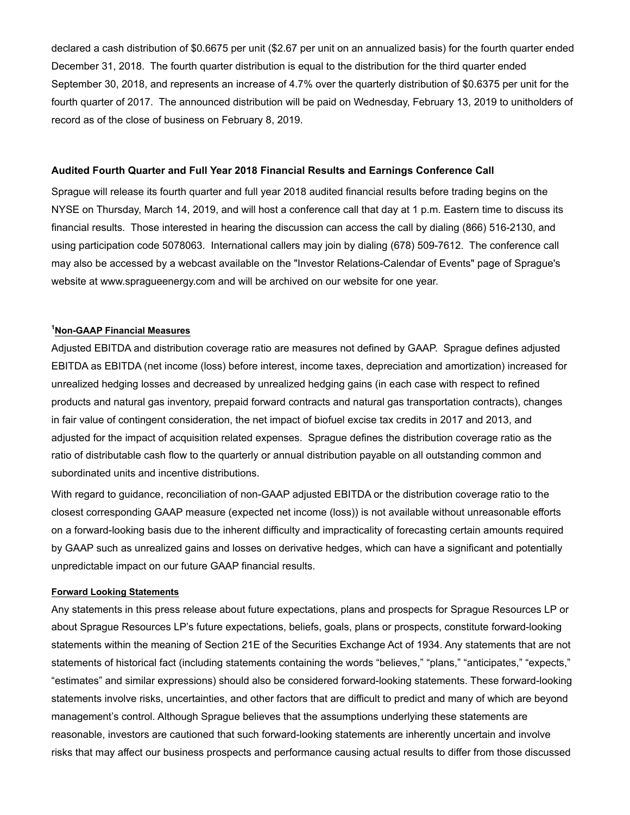declared a cash distribution of \$0.6675 per unit (\$2.67 per unit on an annualized basis) for the fourth quarter ended December 31, 2018. The fourth quarter distribution is equal to the distribution for the third quarter ended September 30, 2018, and represents an increase of 4.7% over the quarterly distribution of \$0.6375 per unit for the fourth quarter of 2017. The announced distribution will be paid on Wednesday, February 13, 2019 to unitholders of record as of the close of business on February 8, 2019.

#### **Audited Fourth Quarter and Full Year 2018 Financial Results and Earnings Conference Call**

Sprague will release its fourth quarter and full year 2018 audited financial results before trading begins on the NYSE on Thursday, March 14, 2019, and will host a conference call that day at 1 p.m. Eastern time to discuss its financial results. Those interested in hearing the discussion can access the call by dialing (866) 516-2130, and using participation code 5078063. International callers may join by dialing (678) 509-7612. The conference call may also be accessed by a webcast available on the "Investor Relations-Calendar of Events" page of Sprague's website at www.spragueenergy.com and will be archived on our website for one year.

#### **<sup>1</sup>Non-GAAP Financial Measures**

Adjusted EBITDA and distribution coverage ratio are measures not defined by GAAP. Sprague defines adjusted EBITDA as EBITDA (net income (loss) before interest, income taxes, depreciation and amortization) increased for unrealized hedging losses and decreased by unrealized hedging gains (in each case with respect to refined products and natural gas inventory, prepaid forward contracts and natural gas transportation contracts), changes in fair value of contingent consideration, the net impact of biofuel excise tax credits in 2017 and 2013, and adjusted for the impact of acquisition related expenses. Sprague defines the distribution coverage ratio as the ratio of distributable cash flow to the quarterly or annual distribution payable on all outstanding common and subordinated units and incentive distributions.

With regard to guidance, reconciliation of non-GAAP adjusted EBITDA or the distribution coverage ratio to the closest corresponding GAAP measure (expected net income (loss)) is not available without unreasonable efforts on a forward-looking basis due to the inherent difficulty and impracticality of forecasting certain amounts required by GAAP such as unrealized gains and losses on derivative hedges, which can have a significant and potentially unpredictable impact on our future GAAP financial results.

#### **Forward Looking Statements**

Any statements in this press release about future expectations, plans and prospects for Sprague Resources LP or about Sprague Resources LP's future expectations, beliefs, goals, plans or prospects, constitute forward-looking statements within the meaning of Section 21E of the Securities Exchange Act of 1934. Any statements that are not statements of historical fact (including statements containing the words "believes," "plans," "anticipates," "expects," "estimates" and similar expressions) should also be considered forward-looking statements. These forward-looking statements involve risks, uncertainties, and other factors that are difficult to predict and many of which are beyond management's control. Although Sprague believes that the assumptions underlying these statements are reasonable, investors are cautioned that such forward-looking statements are inherently uncertain and involve risks that may affect our business prospects and performance causing actual results to differ from those discussed